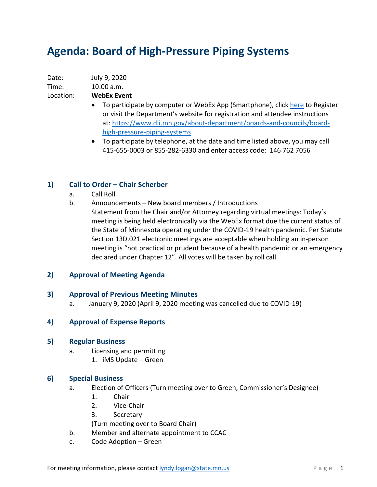# **Agenda: Board of High-Pressure Piping Systems**

| Date: | July 9, 2020 |
|-------|--------------|
| Time: | 10:00 a.m.   |

Location: **WebEx Event**

- To participate by computer or WebEx App (Smartphone), click [here](https://minnesota.webex.com/minnesota/onstage/g.php?MTID=ecb8f26a3ab1efb4139ca009ee6e6fc87) to Register or visit the Department's website for registration and attendee instructions at: [https://www.dli.mn.gov/about-department/boards-and-councils/board](https://www.dli.mn.gov/about-department/boards-and-councils/board-high-pressure-piping-systems)[high-pressure-piping-systems](https://www.dli.mn.gov/about-department/boards-and-councils/board-high-pressure-piping-systems)
- To participate by telephone, at the date and time listed above, you may call 415-655-0003 or 855-282-6330 and enter access code: 146 762 7056

## **1) Call to Order – Chair Scherber**

- a. Call Roll
- b. Announcements New board members / Introductions
	- Statement from the Chair and/or Attorney regarding virtual meetings: Today's meeting is being held electronically via the WebEx format due the current status of the State of Minnesota operating under the COVID-19 health pandemic. Per Statute Section 13D.021 electronic meetings are acceptable when holding an in-person meeting is "not practical or prudent because of a health pandemic or an emergency declared under Chapter 12". All votes will be taken by roll call.

## **2) Approval of Meeting Agenda**

## **3) Approval of Previous Meeting Minutes**

a. January 9, 2020 (April 9, 2020 meeting was cancelled due to COVID-19)

## **4) Approval of Expense Reports**

#### **5) Regular Business**

- a. Licensing and permitting
	- 1. iMS Update Green

#### **6) Special Business**

- a. Election of Officers (Turn meeting over to Green, Commissioner's Designee)
	- 1. Chair
	- 2. Vice-Chair
	- 3. Secretary
	- (Turn meeting over to Board Chair)
- b. Member and alternate appointment to CCAC
- c. Code Adoption Green